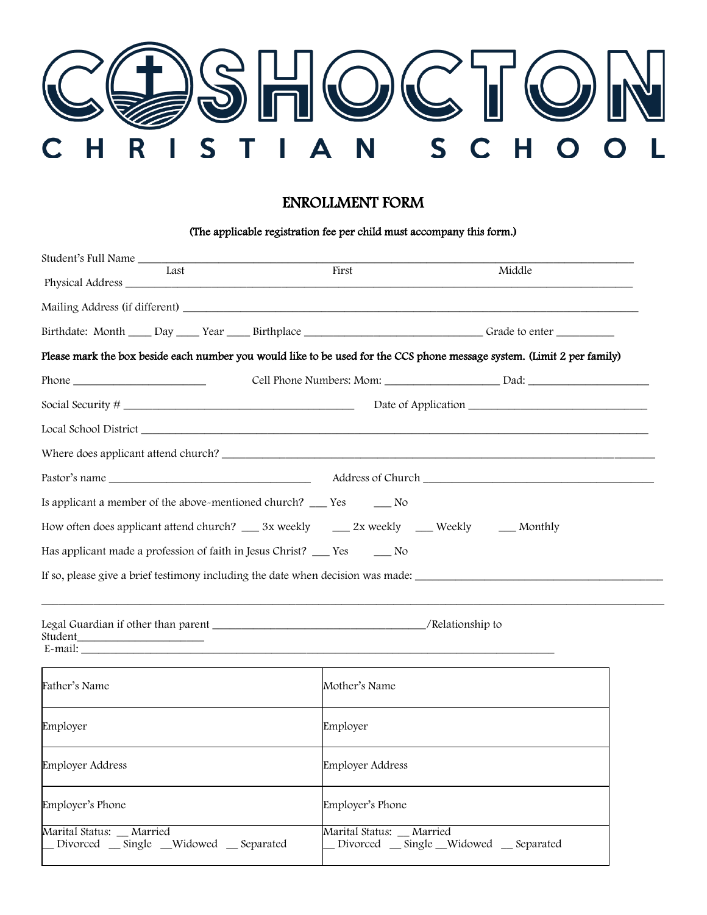

## ENROLLMENT FORM

## (The applicable registration fee per child must accompany this form.)

| Student's Full Name<br>Last                                                                                    | First<br>Middle                                                                                                         |
|----------------------------------------------------------------------------------------------------------------|-------------------------------------------------------------------------------------------------------------------------|
| Physical Address                                                                                               |                                                                                                                         |
|                                                                                                                |                                                                                                                         |
|                                                                                                                |                                                                                                                         |
|                                                                                                                | Please mark the box beside each number you would like to be used for the CCS phone message system. (Limit 2 per family) |
|                                                                                                                | Cell Phone Numbers: Mom: Dad: Dad:                                                                                      |
|                                                                                                                |                                                                                                                         |
|                                                                                                                |                                                                                                                         |
|                                                                                                                |                                                                                                                         |
|                                                                                                                |                                                                                                                         |
| Is applicant a member of the above-mentioned church? ______ Yes _________ No                                   |                                                                                                                         |
| How often does applicant attend church? _____ 3x weekly ______ 2x weekly ______ Weekly ______ Monthly          |                                                                                                                         |
| Has applicant made a profession of faith in Jesus Christ? ___ Yes _____ No                                     |                                                                                                                         |
| If so, please give a brief testimony including the date when decision was made: ______________________________ |                                                                                                                         |
|                                                                                                                |                                                                                                                         |
|                                                                                                                |                                                                                                                         |
|                                                                                                                |                                                                                                                         |
| Father's Name                                                                                                  | Mother's Name                                                                                                           |
| Employer                                                                                                       | Employer                                                                                                                |
| Employer Address                                                                                               | <b>Employer Address</b>                                                                                                 |
| Employer's Phone                                                                                               | Employer's Phone                                                                                                        |
| Marital Status:<br>_Married<br>Divorced __ Single __Widowed __ Separated                                       | Marital Status:<br>_Married<br>Divorced _ Single _ Widowed _ Separated                                                  |